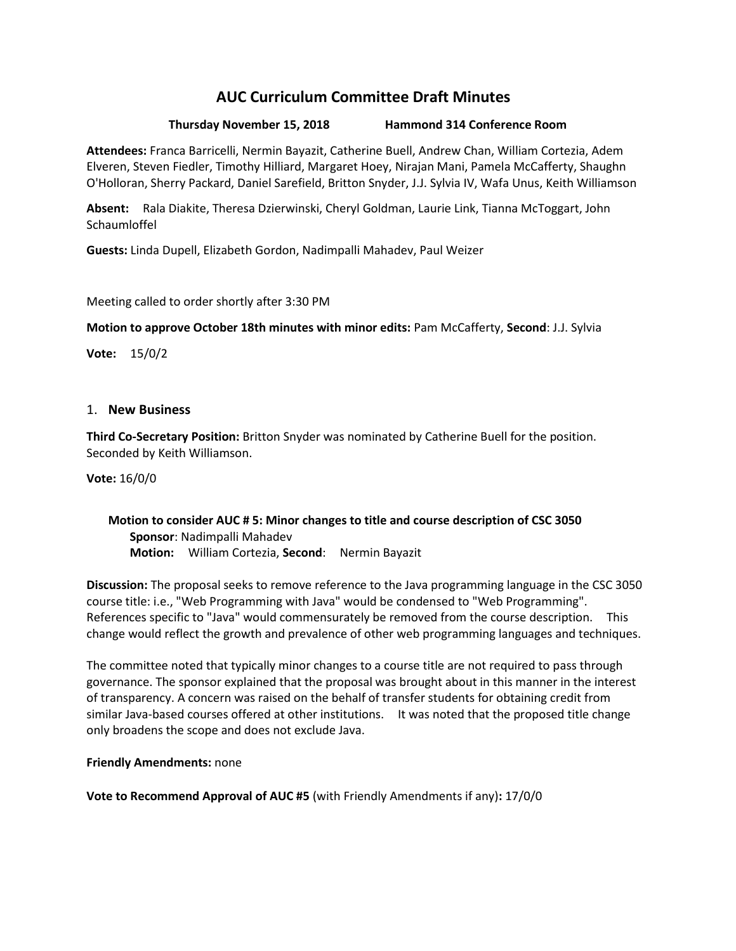# **AUC Curriculum Committee Draft Minutes**

## **Thursday November 15, 2018 Hammond 314 Conference Room**

**Attendees:** Franca Barricelli, Nermin Bayazit, Catherine Buell, Andrew Chan, William Cortezia, Adem Elveren, Steven Fiedler, Timothy Hilliard, Margaret Hoey, Nirajan Mani, Pamela McCafferty, Shaughn O'Holloran, Sherry Packard, Daniel Sarefield, Britton Snyder, J.J. Sylvia IV, Wafa Unus, Keith Williamson

**Absent:** Rala Diakite, Theresa Dzierwinski, Cheryl Goldman, Laurie Link, Tianna McToggart, John **Schaumloffel** 

**Guests:** Linda Dupell, Elizabeth Gordon, Nadimpalli Mahadev, Paul Weizer

Meeting called to order shortly after 3:30 PM

**Motion to approve October 18th minutes with minor edits:** Pam McCafferty, **Second**: J.J. Sylvia

**Vote:** 15/0/2

### 1. **New Business**

**Third Co-Secretary Position:** Britton Snyder was nominated by Catherine Buell for the position. Seconded by Keith Williamson.

**Vote:** 16/0/0

## **Motion to consider AUC # 5: Minor changes to title and course description of CSC 3050 Sponsor**: Nadimpalli Mahadev **Motion:** William Cortezia, **Second**: Nermin Bayazit

**Discussion:** The proposal seeks to remove reference to the Java programming language in the CSC 3050 course title: i.e., "Web Programming with Java" would be condensed to "Web Programming". References specific to "Java" would commensurately be removed from the course description. This change would reflect the growth and prevalence of other web programming languages and techniques.

The committee noted that typically minor changes to a course title are not required to pass through governance. The sponsor explained that the proposal was brought about in this manner in the interest of transparency. A concern was raised on the behalf of transfer students for obtaining credit from similar Java-based courses offered at other institutions. It was noted that the proposed title change only broadens the scope and does not exclude Java.

**Friendly Amendments:** none

**Vote to Recommend Approval of AUC #5** (with Friendly Amendments if any)**:** 17/0/0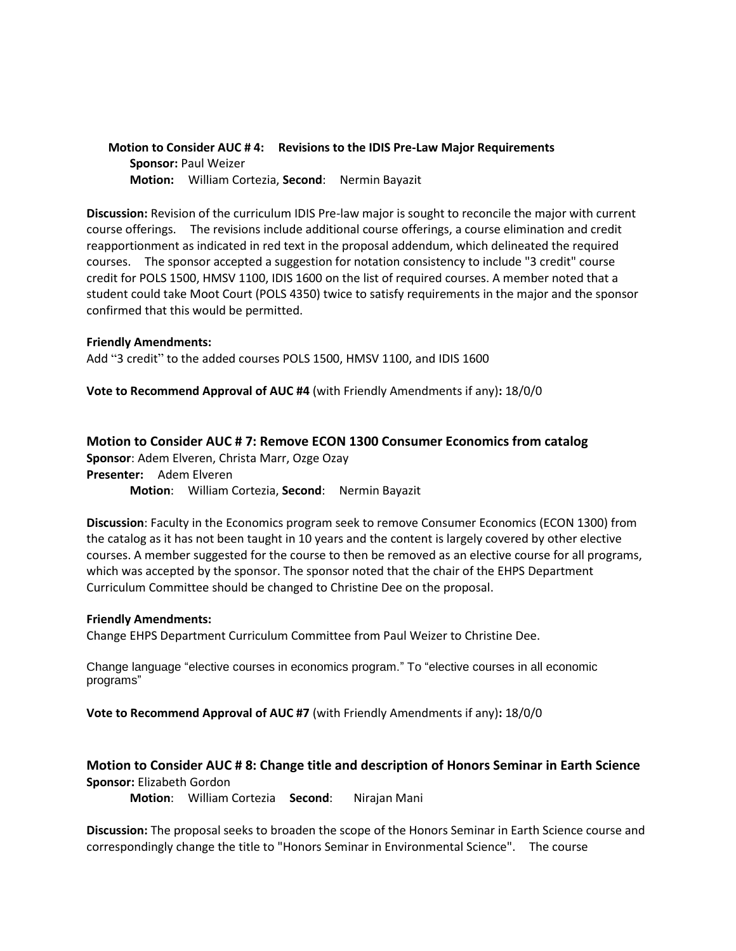**Motion to Consider AUC # 4: Revisions to the IDIS Pre-Law Major Requirements Sponsor:** Paul Weizer **Motion:** William Cortezia, **Second**: Nermin Bayazit

**Discussion:** Revision of the curriculum IDIS Pre-law major is sought to reconcile the major with current course offerings. The revisions include additional course offerings, a course elimination and credit reapportionment as indicated in red text in the proposal addendum, which delineated the required courses. The sponsor accepted a suggestion for notation consistency to include "3 credit" course credit for POLS 1500, HMSV 1100, IDIS 1600 on the list of required courses. A member noted that a student could take Moot Court (POLS 4350) twice to satisfy requirements in the major and the sponsor confirmed that this would be permitted.

#### **Friendly Amendments:**

Add "3 credit" to the added courses POLS 1500, HMSV 1100, and IDIS 1600

**Vote to Recommend Approval of AUC #4** (with Friendly Amendments if any)**:** 18/0/0

#### **Motion to Consider AUC # 7: Remove ECON 1300 Consumer Economics from catalog**

**Sponsor**: Adem Elveren, Christa Marr, Ozge Ozay **Presenter:** Adem Elveren **Motion**: William Cortezia, **Second**: Nermin Bayazit

**Discussion**: Faculty in the Economics program seek to remove Consumer Economics (ECON 1300) from the catalog as it has not been taught in 10 years and the content is largely covered by other elective courses. A member suggested for the course to then be removed as an elective course for all programs, which was accepted by the sponsor. The sponsor noted that the chair of the EHPS Department Curriculum Committee should be changed to Christine Dee on the proposal.

#### **Friendly Amendments:**

Change EHPS Department Curriculum Committee from Paul Weizer to Christine Dee.

Change language "elective courses in economics program." To "elective courses in all economic programs"

**Vote to Recommend Approval of AUC #7** (with Friendly Amendments if any)**:** 18/0/0

## **Motion to Consider AUC # 8: Change title and description of Honors Seminar in Earth Science Sponsor:** Elizabeth Gordon

**Motion**: William Cortezia **Second**: Nirajan Mani

**Discussion:** The proposal seeks to broaden the scope of the Honors Seminar in Earth Science course and correspondingly change the title to "Honors Seminar in Environmental Science". The course